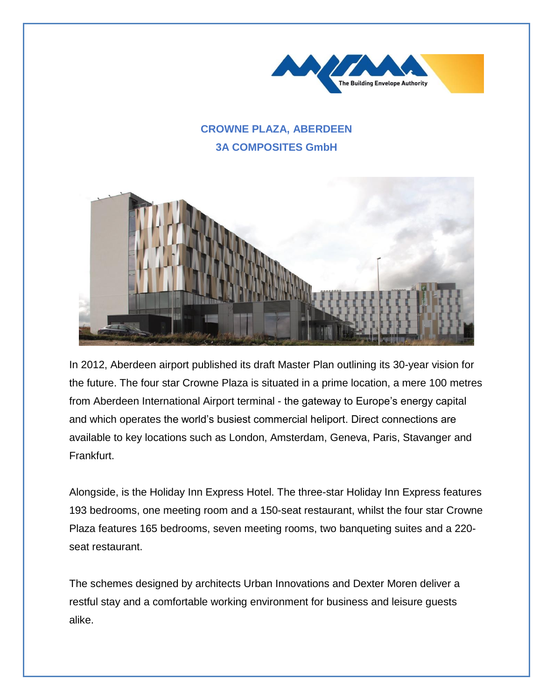

## **CROWNE PLAZA, ABERDEEN 3A COMPOSITES GmbH**



In 2012, Aberdeen airport published its draft Master Plan outlining its 30-year vision for the future. The four star Crowne Plaza is situated in a prime location, a mere 100 metres from Aberdeen International Airport terminal - the gateway to Europe's energy capital and which operates the world's busiest commercial heliport. Direct connections are available to key locations such as London, Amsterdam, Geneva, Paris, Stavanger and Frankfurt.

Alongside, is the Holiday Inn Express Hotel. The three-star Holiday Inn Express features 193 bedrooms, one meeting room and a 150-seat restaurant, whilst the four star Crowne Plaza features 165 bedrooms, seven meeting rooms, two banqueting suites and a 220 seat restaurant.

The schemes designed by architects Urban Innovations and Dexter Moren deliver a restful stay and a comfortable working environment for business and leisure guests alike.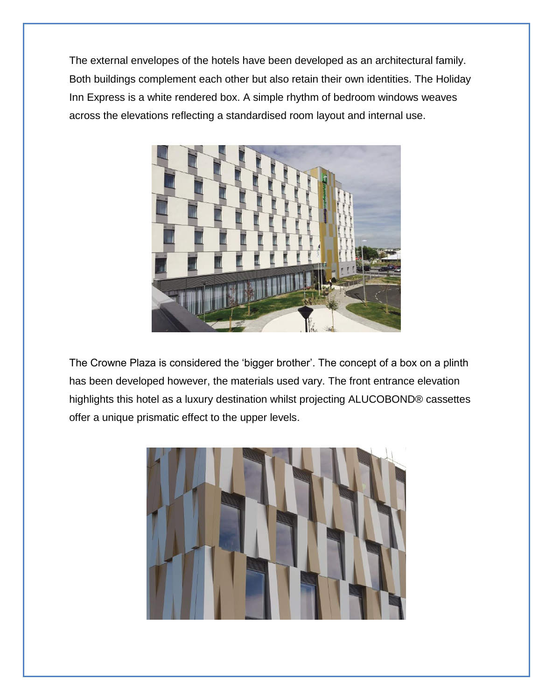The external envelopes of the hotels have been developed as an architectural family. Both buildings complement each other but also retain their own identities. The Holiday Inn Express is a white rendered box. A simple rhythm of bedroom windows weaves across the elevations reflecting a standardised room layout and internal use.



The Crowne Plaza is considered the 'bigger brother'. The concept of a box on a plinth has been developed however, the materials used vary. The front entrance elevation highlights this hotel as a luxury destination whilst projecting ALUCOBOND® cassettes offer a unique prismatic effect to the upper levels.